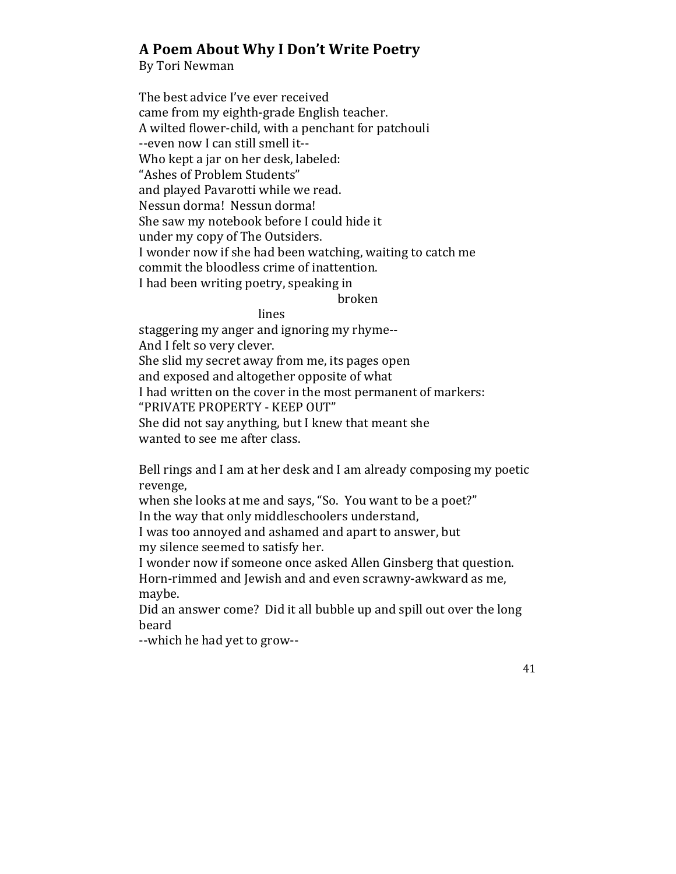## **A Poem About Why I Don't Write Poetry**

By Tori Newman

The best advice I've ever received came from my eighth-grade English teacher. A wilted flower-child, with a penchant for patchouli --even now I can still smell it--Who kept a jar on her desk, labeled: "Ashes of Problem Students" and played Pavarotti while we read. Nessun dorma! Nessun dorma! She saw my notebook before I could hide it under my copy of The Outsiders. I wonder now if she had been watching, waiting to catch me commit the bloodless crime of inattention. I had been writing poetry, speaking in

broken

## lines

staggering my anger and ignoring my rhyme--And I felt so very clever. She slid my secret away from me, its pages open and exposed and altogether opposite of what I had written on the cover in the most permanent of markers: "PRIVATE PROPERTY - KEEP OUT" She did not say anything, but I knew that meant she wanted to see me after class.

Bell rings and I am at her desk and I am already composing my poetic revenge,

when she looks at me and says, "So. You want to be a poet?" In the way that only middleschoolers understand,

I was too annoyed and ashamed and apart to answer, but my silence seemed to satisfy her.

I wonder now if someone once asked Allen Ginsberg that question. Horn-rimmed and Jewish and and even scrawny-awkward as me, maybe.

Did an answer come? Did it all bubble up and spill out over the long beard 

--which he had yet to grow--

41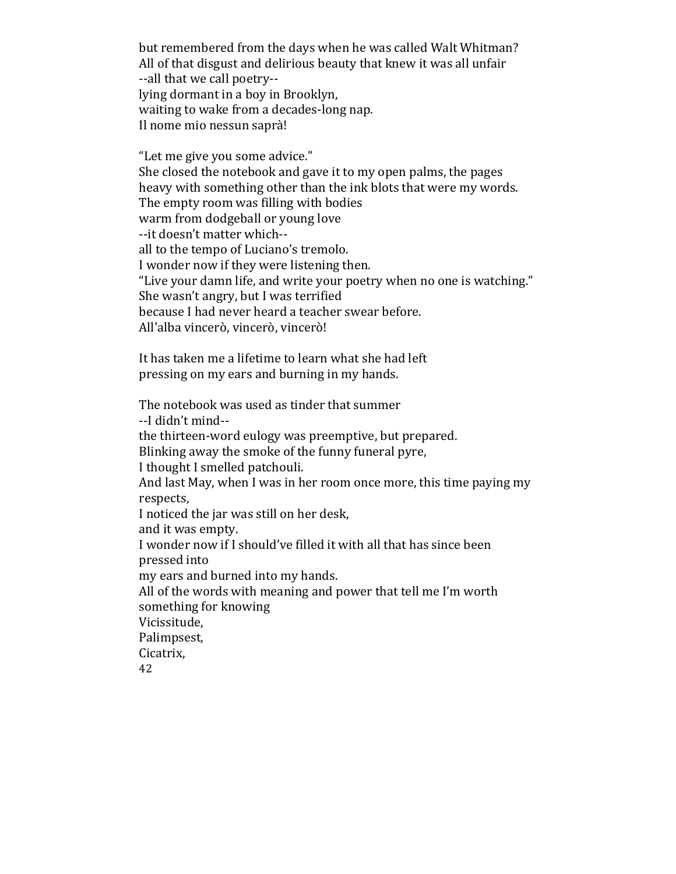but remembered from the days when he was called Walt Whitman? All of that disgust and delirious beauty that knew it was all unfair --all that we call poetry-lying dormant in a boy in Brooklyn, waiting to wake from a decades-long nap. Il nome mio nessun saprà!

"Let me give you some advice." She closed the notebook and gave it to my open palms, the pages heavy with something other than the ink blots that were my words. The empty room was filling with bodies warm from dodgeball or young love --it doesn't matter which-all to the tempo of Luciano's tremolo. I wonder now if they were listening then. "Live your damn life, and write your poetry when no one is watching." She wasn't angry, but I was terrified because I had never heard a teacher swear before. All'alba vincerò, vincerò, vincerò!

It has taken me a lifetime to learn what she had left pressing on my ears and burning in my hands.

42 The notebook was used as tinder that summer --I didn't mind-the thirteen-word eulogy was preemptive, but prepared. Blinking away the smoke of the funny funeral pyre, I thought I smelled patchouli. And last May, when I was in her room once more, this time paying my respects, I noticed the jar was still on her desk, and it was empty. I wonder now if I should've filled it with all that has since been pressed into my ears and burned into my hands. All of the words with meaning and power that tell me I'm worth something for knowing Vicissitude, Palimpsest, Cicatrix,